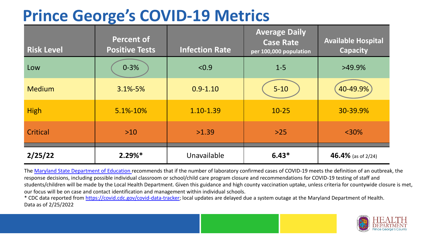## **Prince George's COVID-19 Metrics**

| <b>Risk Level</b> | <b>Percent of</b><br><b>Positive Tests</b> | <b>Infection Rate</b> | <b>Average Daily</b><br><b>Case Rate</b><br>per 100,000 population | <b>Available Hospital</b><br><b>Capacity</b> |
|-------------------|--------------------------------------------|-----------------------|--------------------------------------------------------------------|----------------------------------------------|
| Low               | $0 - 3%$                                   | < 0.9                 | $1 - 5$                                                            | $>49.9\%$                                    |
| <b>Medium</b>     | $3.1\% - 5\%$                              | $0.9 - 1.10$          | $5 - 10$                                                           | 40-49.9%                                     |
| <b>High</b>       | 5.1%-10%                                   | 1.10-1.39             | $10 - 25$                                                          | 30-39.9%                                     |
| Critical          | $>10$                                      | >1.39                 | $>25$                                                              | $<$ 30%                                      |
| 2/25/22           | $2.29%$ *                                  | Unavailable           | $6.43*$                                                            | 46.4% (as of $2/24$ )                        |

The [Maryland State Department of Education](https://earlychildhood.marylandpublicschools.org/system/files/filedepot/3/covid_guidance_full_080420.pdf) recommends that if the number of laboratory confirmed cases of COVID-19 meets the definition of an outbreak, the response decisions, including possible individual classroom or school/child care program closure and recommendations for COVID-19 testing of staff and students/children will be made by the Local Health Department. Given this guidance and high county vaccination uptake, unless criteria for countywide closure is met, our focus will be on case and contact identification and management within individual schools.

\* CDC data reported from <https://covid.cdc.gov/covid-data-tracker>; local updates are delayed due a system outage at the Maryland Department of Health. Data as of 2/25/2022

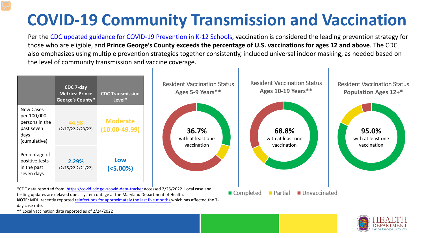## **COVID-19 Community Transmission and Vaccination**

Per the [CDC updated guidance for COVID-19 Prevention in K-12 Schools,](https://www.cdc.gov/coronavirus/2019-ncov/community/schools-childcare/k-12-guidance.html) vaccination is considered the leading prevention strategy for those who are eligible, and **Prince George's County exceeds the percentage of U.S. vaccinations for ages 12 and above**. The CDC also emphasizes using multiple prevention strategies together consistently, included universal indoor masking, as needed based on the level of community transmission and vaccine coverage.



day case rate.

\*\* Local vaccination data reported as of 2/24/2022